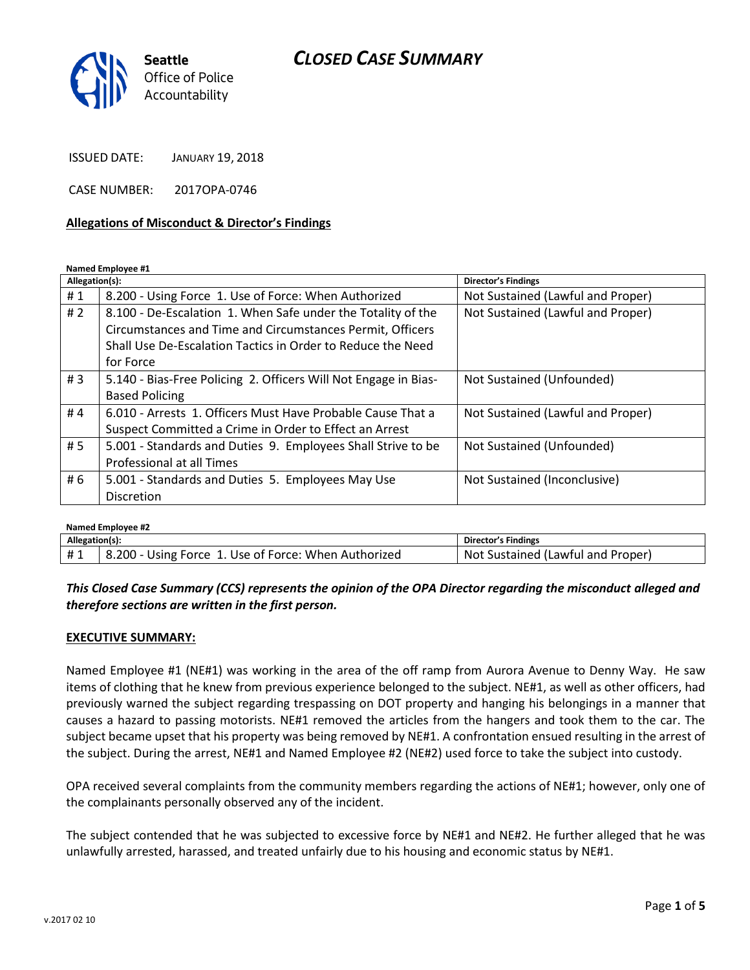# *CLOSED CASE SUMMARY*



ISSUED DATE: JANUARY 19, 2018

CASE NUMBER: 2017OPA-0746

#### **Allegations of Misconduct & Director's Findings**

**Named Employee #1**

| Allegation(s): |                                                                 | Director's Findings               |
|----------------|-----------------------------------------------------------------|-----------------------------------|
| #1             | 8.200 - Using Force 1. Use of Force: When Authorized            | Not Sustained (Lawful and Proper) |
| #2             | 8.100 - De-Escalation 1. When Safe under the Totality of the    | Not Sustained (Lawful and Proper) |
|                | Circumstances and Time and Circumstances Permit, Officers       |                                   |
|                | Shall Use De-Escalation Tactics in Order to Reduce the Need     |                                   |
|                | for Force                                                       |                                   |
| #3             | 5.140 - Bias-Free Policing 2. Officers Will Not Engage in Bias- | Not Sustained (Unfounded)         |
|                | <b>Based Policing</b>                                           |                                   |
| #4             | 6.010 - Arrests 1. Officers Must Have Probable Cause That a     | Not Sustained (Lawful and Proper) |
|                | Suspect Committed a Crime in Order to Effect an Arrest          |                                   |
| #5             | 5.001 - Standards and Duties 9. Employees Shall Strive to be    | Not Sustained (Unfounded)         |
|                | Professional at all Times                                       |                                   |
| #6             | 5.001 - Standards and Duties 5. Employees May Use               | Not Sustained (Inconclusive)      |
|                | <b>Discretion</b>                                               |                                   |

| Named Employee #2 |                                                      |                                   |  |
|-------------------|------------------------------------------------------|-----------------------------------|--|
| Allegation(s):    |                                                      | Director's Findings               |  |
| #1                | 8.200 - Using Force 1. Use of Force: When Authorized | Not Sustained (Lawful and Proper) |  |

*This Closed Case Summary (CCS) represents the opinion of the OPA Director regarding the misconduct alleged and therefore sections are written in the first person.* 

#### **EXECUTIVE SUMMARY:**

Named Employee #1 (NE#1) was working in the area of the off ramp from Aurora Avenue to Denny Way. He saw items of clothing that he knew from previous experience belonged to the subject. NE#1, as well as other officers, had previously warned the subject regarding trespassing on DOT property and hanging his belongings in a manner that causes a hazard to passing motorists. NE#1 removed the articles from the hangers and took them to the car. The subject became upset that his property was being removed by NE#1. A confrontation ensued resulting in the arrest of the subject. During the arrest, NE#1 and Named Employee #2 (NE#2) used force to take the subject into custody.

OPA received several complaints from the community members regarding the actions of NE#1; however, only one of the complainants personally observed any of the incident.

The subject contended that he was subjected to excessive force by NE#1 and NE#2. He further alleged that he was unlawfully arrested, harassed, and treated unfairly due to his housing and economic status by NE#1.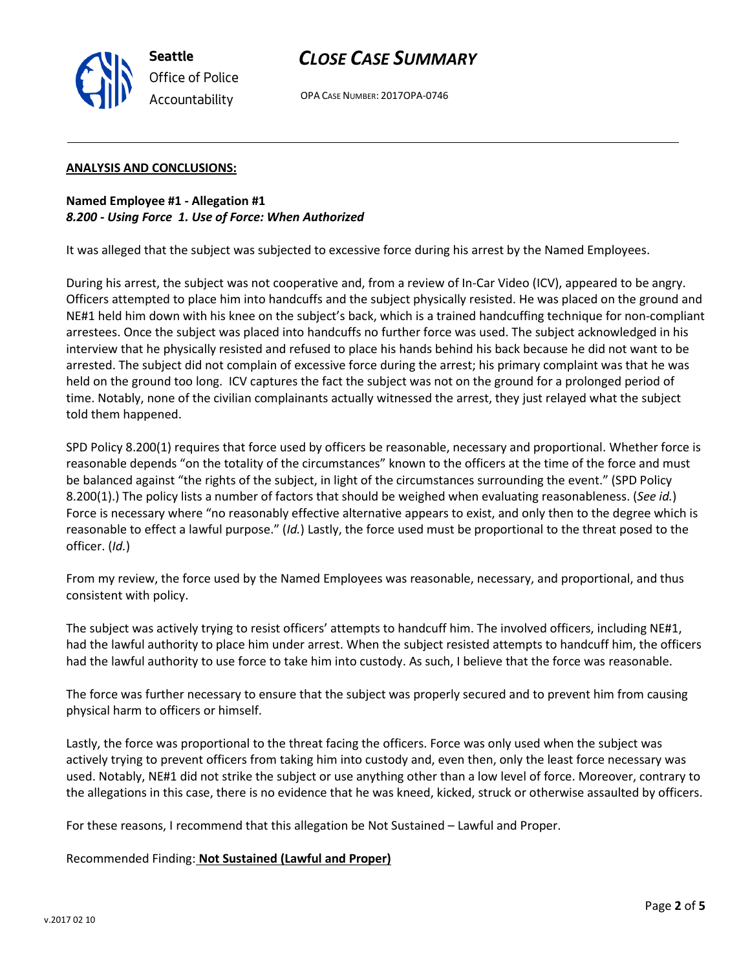

# *CLOSE CASE SUMMARY*

OPA CASE NUMBER: 2017OPA-0746

#### **ANALYSIS AND CONCLUSIONS:**

**Named Employee #1 - Allegation #1** *8.200 - Using Force 1. Use of Force: When Authorized*

It was alleged that the subject was subjected to excessive force during his arrest by the Named Employees.

During his arrest, the subject was not cooperative and, from a review of In-Car Video (ICV), appeared to be angry. Officers attempted to place him into handcuffs and the subject physically resisted. He was placed on the ground and NE#1 held him down with his knee on the subject's back, which is a trained handcuffing technique for non-compliant arrestees. Once the subject was placed into handcuffs no further force was used. The subject acknowledged in his interview that he physically resisted and refused to place his hands behind his back because he did not want to be arrested. The subject did not complain of excessive force during the arrest; his primary complaint was that he was held on the ground too long. ICV captures the fact the subject was not on the ground for a prolonged period of time. Notably, none of the civilian complainants actually witnessed the arrest, they just relayed what the subject told them happened.

SPD Policy 8.200(1) requires that force used by officers be reasonable, necessary and proportional. Whether force is reasonable depends "on the totality of the circumstances" known to the officers at the time of the force and must be balanced against "the rights of the subject, in light of the circumstances surrounding the event." (SPD Policy 8.200(1).) The policy lists a number of factors that should be weighed when evaluating reasonableness. (*See id.*) Force is necessary where "no reasonably effective alternative appears to exist, and only then to the degree which is reasonable to effect a lawful purpose." (*Id.*) Lastly, the force used must be proportional to the threat posed to the officer. (*Id.*)

From my review, the force used by the Named Employees was reasonable, necessary, and proportional, and thus consistent with policy.

The subject was actively trying to resist officers' attempts to handcuff him. The involved officers, including NE#1, had the lawful authority to place him under arrest. When the subject resisted attempts to handcuff him, the officers had the lawful authority to use force to take him into custody. As such, I believe that the force was reasonable.

The force was further necessary to ensure that the subject was properly secured and to prevent him from causing physical harm to officers or himself.

Lastly, the force was proportional to the threat facing the officers. Force was only used when the subject was actively trying to prevent officers from taking him into custody and, even then, only the least force necessary was used. Notably, NE#1 did not strike the subject or use anything other than a low level of force. Moreover, contrary to the allegations in this case, there is no evidence that he was kneed, kicked, struck or otherwise assaulted by officers.

For these reasons, I recommend that this allegation be Not Sustained – Lawful and Proper.

Recommended Finding: **Not Sustained (Lawful and Proper)**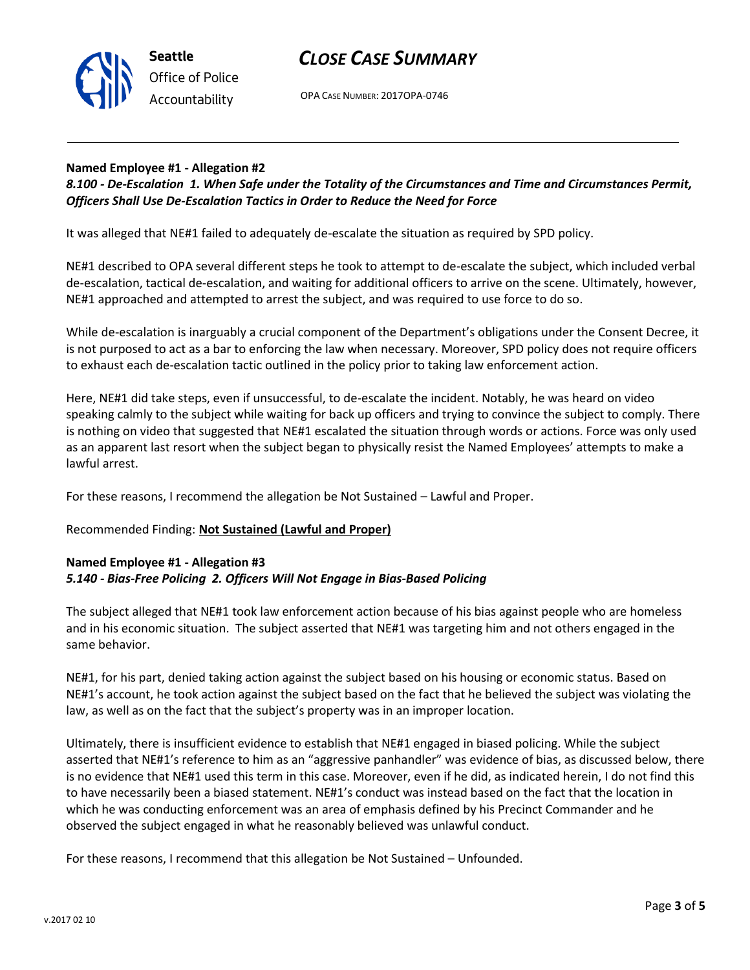



OPA CASE NUMBER: 2017OPA-0746

## **Named Employee #1 - Allegation #2**

*8.100 - De-Escalation 1. When Safe under the Totality of the Circumstances and Time and Circumstances Permit, Officers Shall Use De-Escalation Tactics in Order to Reduce the Need for Force*

It was alleged that NE#1 failed to adequately de-escalate the situation as required by SPD policy.

NE#1 described to OPA several different steps he took to attempt to de-escalate the subject, which included verbal de-escalation, tactical de-escalation, and waiting for additional officers to arrive on the scene. Ultimately, however, NE#1 approached and attempted to arrest the subject, and was required to use force to do so.

While de-escalation is inarguably a crucial component of the Department's obligations under the Consent Decree, it is not purposed to act as a bar to enforcing the law when necessary. Moreover, SPD policy does not require officers to exhaust each de-escalation tactic outlined in the policy prior to taking law enforcement action.

Here, NE#1 did take steps, even if unsuccessful, to de-escalate the incident. Notably, he was heard on video speaking calmly to the subject while waiting for back up officers and trying to convince the subject to comply. There is nothing on video that suggested that NE#1 escalated the situation through words or actions. Force was only used as an apparent last resort when the subject began to physically resist the Named Employees' attempts to make a lawful arrest.

For these reasons, I recommend the allegation be Not Sustained – Lawful and Proper.

# Recommended Finding: **Not Sustained (Lawful and Proper)**

# **Named Employee #1 - Allegation #3** *5.140 - Bias-Free Policing 2. Officers Will Not Engage in Bias-Based Policing*

The subject alleged that NE#1 took law enforcement action because of his bias against people who are homeless and in his economic situation. The subject asserted that NE#1 was targeting him and not others engaged in the same behavior.

NE#1, for his part, denied taking action against the subject based on his housing or economic status. Based on NE#1's account, he took action against the subject based on the fact that he believed the subject was violating the law, as well as on the fact that the subject's property was in an improper location.

Ultimately, there is insufficient evidence to establish that NE#1 engaged in biased policing. While the subject asserted that NE#1's reference to him as an "aggressive panhandler" was evidence of bias, as discussed below, there is no evidence that NE#1 used this term in this case. Moreover, even if he did, as indicated herein, I do not find this to have necessarily been a biased statement. NE#1's conduct was instead based on the fact that the location in which he was conducting enforcement was an area of emphasis defined by his Precinct Commander and he observed the subject engaged in what he reasonably believed was unlawful conduct.

For these reasons, I recommend that this allegation be Not Sustained – Unfounded.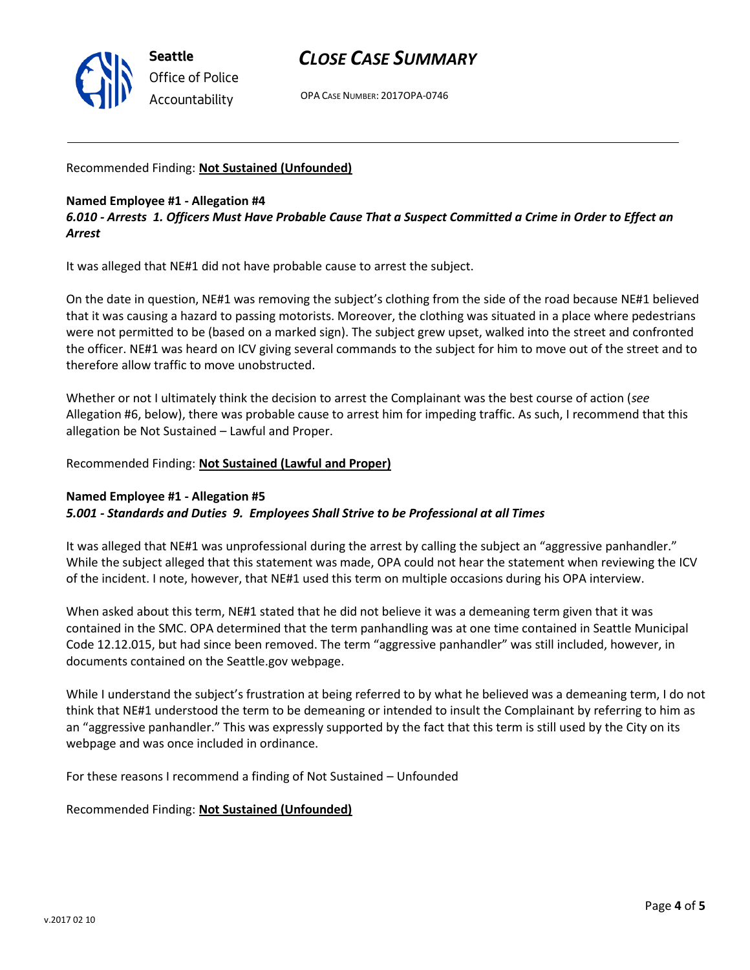

# *CLOSE CASE SUMMARY*

OPA CASE NUMBER: 2017OPA-0746

Recommended Finding: **Not Sustained (Unfounded)**

#### **Named Employee #1 - Allegation #4**

*6.010 - Arrests 1. Officers Must Have Probable Cause That a Suspect Committed a Crime in Order to Effect an Arrest*

It was alleged that NE#1 did not have probable cause to arrest the subject.

On the date in question, NE#1 was removing the subject's clothing from the side of the road because NE#1 believed that it was causing a hazard to passing motorists. Moreover, the clothing was situated in a place where pedestrians were not permitted to be (based on a marked sign). The subject grew upset, walked into the street and confronted the officer. NE#1 was heard on ICV giving several commands to the subject for him to move out of the street and to therefore allow traffic to move unobstructed.

Whether or not I ultimately think the decision to arrest the Complainant was the best course of action (*see* Allegation #6, below), there was probable cause to arrest him for impeding traffic. As such, I recommend that this allegation be Not Sustained – Lawful and Proper.

Recommended Finding: **Not Sustained (Lawful and Proper)**

### **Named Employee #1 - Allegation #5** *5.001 - Standards and Duties 9. Employees Shall Strive to be Professional at all Times*

It was alleged that NE#1 was unprofessional during the arrest by calling the subject an "aggressive panhandler." While the subject alleged that this statement was made, OPA could not hear the statement when reviewing the ICV of the incident. I note, however, that NE#1 used this term on multiple occasions during his OPA interview.

When asked about this term, NE#1 stated that he did not believe it was a demeaning term given that it was contained in the SMC. OPA determined that the term panhandling was at one time contained in Seattle Municipal Code 12.12.015, but had since been removed. The term "aggressive panhandler" was still included, however, in documents contained on the Seattle.gov webpage.

While I understand the subject's frustration at being referred to by what he believed was a demeaning term, I do not think that NE#1 understood the term to be demeaning or intended to insult the Complainant by referring to him as an "aggressive panhandler." This was expressly supported by the fact that this term is still used by the City on its webpage and was once included in ordinance.

For these reasons I recommend a finding of Not Sustained – Unfounded

# Recommended Finding: **Not Sustained (Unfounded)**